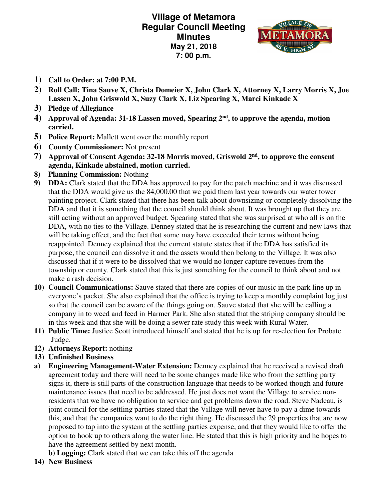**Village of Metamora Regular Council Meeting Minutes May 21, 2018 7: 00 p.m.** 



- **1) Call to Order: at 7:00 P.M.**
- **2) Roll Call: Tina Sauve X, Christa Domeier X, John Clark X, Attorney X, Larry Morris X, Joe Lassen X, John Griswold X, Suzy Clark X, Liz Spearing X, Marci Kinkade X**
- **3) Pledge of Allegiance**
- **4) Approval of Agenda: 31-18 Lassen moved, Spearing 2nd, to approve the agenda, motion carried.**
- **5) Police Report:** Mallett went over the monthly report.
- **6) County Commissioner:** Not present
- **7) Approval of Consent Agenda: 32-18 Morris moved, Griswold 2nd, to approve the consent agenda, Kinkade abstained, motion carried.**
- **8) Planning Commission:** Nothing
- **9) DDA:** Clark stated that the DDA has approved to pay for the patch machine and it was discussed that the DDA would give us the 84,000.00 that we paid them last year towards our water tower painting project. Clark stated that there has been talk about downsizing or completely dissolving the DDA and that it is something that the council should think about. It was brought up that they are still acting without an approved budget. Spearing stated that she was surprised at who all is on the DDA, with no ties to the Village. Denney stated that he is researching the current and new laws that will be taking effect, and the fact that some may have exceeded their terms without being reappointed. Denney explained that the current statute states that if the DDA has satisfied its purpose, the council can dissolve it and the assets would then belong to the Village. It was also discussed that if it were to be dissolved that we would no longer capture revenues from the township or county. Clark stated that this is just something for the council to think about and not make a rash decision.
- **10) Council Communications:** Sauve stated that there are copies of our music in the park line up in everyone's packet. She also explained that the office is trying to keep a monthly complaint log just so that the council can be aware of the things going on. Sauve stated that she will be calling a company in to weed and feed in Harmer Park. She also stated that the striping company should be in this week and that she will be doing a sewer rate study this week with Rural Water.
- **11) Public Time:** Justice Scott introduced himself and stated that he is up for re-election for Probate Judge.
- **12) Attorneys Report:** nothing
- **13) Unfinished Business**
- **a) Engineering Management-Water Extension:** Denney explained that he received a revised draft agreement today and there will need to be some changes made like who from the settling party signs it, there is still parts of the construction language that needs to be worked though and future maintenance issues that need to be addressed. He just does not want the Village to service nonresidents that we have no obligation to service and get problems down the road. Steve Nadeau, is joint council for the settling parties stated that the Village will never have to pay a dime towards this, and that the companies want to do the right thing. He discussed the 29 properties that are now proposed to tap into the system at the settling parties expense, and that they would like to offer the option to hook up to others along the water line. He stated that this is high priority and he hopes to have the agreement settled by next month.
	- **b) Logging:** Clark stated that we can take this off the agenda
- **14) New Business**